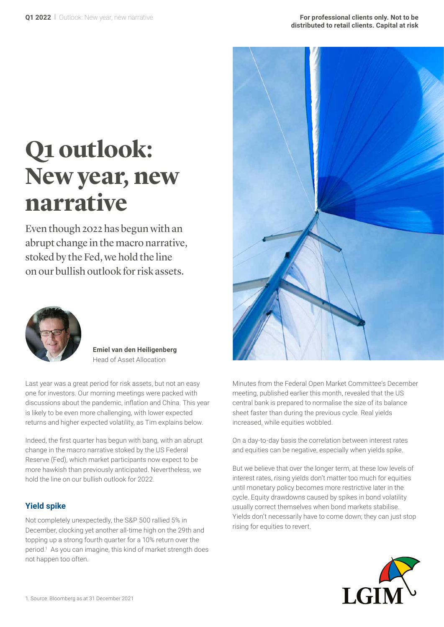# **Q1 outlook: New year, new narrative**

Even though 2022 has begun with an abrupt change in the macro narrative, stoked by the Fed, we hold the line on our bullish outlook for risk assets.



**Emiel van den Heiligenberg** Head of Asset Allocation

Last year was a great period for risk assets, but not an easy one for investors. Our morning meetings were packed with discussions about the pandemic, inflation and China. This year is likely to be even more challenging, with lower expected returns and higher expected volatility, as Tim explains below.

Indeed, the first quarter has begun with bang, with an abrupt change in the macro narrative stoked by the US Federal Reserve (Fed), which market participants now expect to be more hawkish than previously anticipated. Nevertheless, we hold the line on our bullish outlook for 2022.

#### **Yield spike**

Not completely unexpectedly, the S&P 500 rallied 5% in December, clocking yet another all-time high on the 29th and topping up a strong fourth quarter for a 10% return over the period.<sup>1</sup> As you can imagine, this kind of market strength does not happen too often.



Minutes from the Federal Open Market Committee's December meeting, published earlier this month, revealed that the US central bank is prepared to normalise the size of its balance sheet faster than during the previous cycle. Real yields increased, while equities wobbled.

On a day-to-day basis the correlation between interest rates and equities can be negative, especially when yields spike.

But we believe that over the longer term, at these low levels of interest rates, rising yields don't matter too much for equities until monetary policy becomes more restrictive later in the cycle. Equity drawdowns caused by spikes in bond volatility usually correct themselves when bond markets stabilise. Yields don't necessarily have to come down; they can just stop rising for equities to revert.

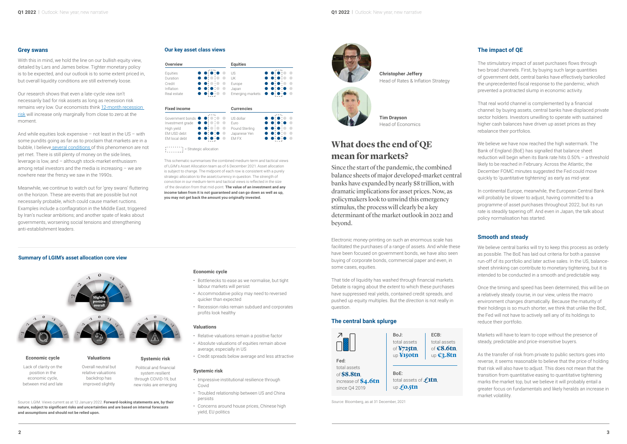#### **Grey swans**

With this in mind, we hold the line on our bullish equity view, detailed by Lars and James below. Tighter monetary policy is to be expected, and our outlook is to some extent priced in, but overall liquidity conditions are still extremely loose.

Our research shows that even a late-cycle view isn't necessarily bad for risk assets as long as recession risk remains very low. Our economists think [12-month recession](https://www.lgimblog.com/categories/markets-and-economics/economics/assessing-the-cycle-beyond-delta/)  [risk](https://www.lgimblog.com/categories/markets-and-economics/economics/assessing-the-cycle-beyond-delta/) will increase only marginally from close to zero at the moment.

And while equities look expensive – not least in the US – with some pundits going as far as to proclaim that markets are in a bubble, I believe [several conditions](https://www.lgimblog.com/categories/markets-and-economics/equities/is-this-a-bubble-or-did-santa-just-come-to-town/) of this phenomenon are not yet met. There is still plenty of money on the side lines, leverage is low, and – although stock-market enthusiasm among retail investors and the media is increasing – we are nowhere near the frenzy we saw in the 1990s.

Meanwhile, we continue to watch out for 'grey swans' fluttering on the horizon. These are events that are possible but not necessarily probable, which could cause market ructions. Examples include a conflagration in the Middle East, triggered by Iran's nuclear ambitions; and another spate of leaks about governments, worsening social tensions and strengthening anti-establishment leaders.

This schematic summarises the combined medium-term and tactical views of LGIM's Asset Allocation team as of 6 December 2021. Asset allocation is subject to change. The midpoint of each row is consistent with a purely strategic allocation to the asset/currency in question. The strength of conviction in our medium-term and tactical views is reflected in the size of the deviation from that mid-point. **The value of an investment and any income taken from it is not guaranteed and can go down as well as up, you may not get back the amount you originally invested.**

| <b>Overview</b>                                                                    |     | <b>Equities</b>                                              |     |
|------------------------------------------------------------------------------------|-----|--------------------------------------------------------------|-----|
| Equities<br>Duration<br>Credit<br>Inflation<br>Real estate                         | . . | US<br>UK<br>Europe<br>Japan<br>Emerging markets              |     |
| <b>Fixed income</b>                                                                |     | <b>Currencies</b>                                            |     |
| Government bonds<br>Investment grade<br>High yield<br>EM USD debt<br>EM local debt |     | US dollar<br>Furo<br>Pound Sterling<br>Japanese Yen<br>FM FX | . . |

 $\begin{bmatrix} 1 & 1 & 1 \\ 1 & 1 & 1 \\ 1 & 1 & 1 \\ 1 & 1 & 1 \end{bmatrix} =$  Strategic allocation

#### **Our key asset class views**

#### **Summary of LGIM's asset allocation core view**

Source: LGIM. Views current as at 12 January 2022. **Forward-looking statements are, by their nature, subject to significant risks and uncertainties and are based on internal forecasts** 

**and assumptions and should not be relied upon.**

**Economic cycle** 

- Bottlenecks to ease as we normalise, but tight labour markets will persist
- Accommodative policy may need to reversed quicker than expected
- Recession risks remain subdued and corporates profits look healthy

We believe central banks will try to keep this process as orderly as possible. The BoE has laid out criteria for both a passive run-off of its portfolio and later active sales. In the US, balancesheet shrinking can contribute to monetary tightening, but it is intended to be conducted in a smooth and predictable way.

#### **Valuations**

- Relative valuations remain a positive factor
- Absolute valuations of equities remain above average, especially in US
- Credit spreads below average and less attractive

#### **Systemic risk**

- Impressive institutional resilience through Covid
- Troubled relationship between US and China persists
- Concerns around house prices, Chinese high yield, EU politics

Lack of clarity on the position in the economic cycle, between mid and late

Overall neutral but relative valuations backdrop has

From the contract of the conduction of the conduction of the conduction of the conduction of the conduction of the conduction of the conduction of the conduction of the conduction of the conduction of the conduction of the Since the start of the pandemic, the combined balance sheets of major developed-market central banks have expanded by nearly \$8 trillion, with dramatic implications for asset prices. Now, as policymakers look to unwind this emergency stimulus, the process will clearly be a key determinant of the market outlook in 2022 and beyond.



improved slightly Political and financial system resilient through COVID-19, but new risks are emerging

# **mean for markets?**

Electronic money-printing on such an enormous scale has facilitated the purchases of a range of assets. And while these have been focused on government bonds, we have also seen buying of corporate bonds, commercial paper and even, in some cases, equities.

That tide of liquidity has washed through financial markets. Debate is raging about the *extent* to which these purchases have suppressed real yields, contained credit spreads, and pushed up equity multiples. But the *direction* is not really in question.

#### **The central bank splurge**

### **The impact of QE**

The stimulatory impact of asset purchases flows through two broad channels. First, by buying such large quantities of government debt, central banks have effectively bankrolled the unprecedented fiscal response to the pandemic, which prevented a protracted slump in economic activity.

That real world channel is complemented by a financial channel: by buying assets, central banks have displaced private sector holders. Investors unwilling to operate with sustained higher cash balances have driven up asset prices as they rebalance their portfolios.

We believe we have now reached the high watermark. The Bank of England (BoE) has signalled that balance sheet reduction will begin when its Bank rate hits 0.50% – a threshold likely to be reached in February. Across the Atlantic, the December FOMC minutes suggested the Fed could move quickly to 'quantitative tightening' as early as mid-year.

In continental Europe, meanwhile, the European Central Bank will probably be slower to adjust, having committed to a programme of asset purchases throughout 2022, but its run rate is steadily tapering off. And even in Japan, the talk about policy normalisation has started.

#### **Smooth and steady**

Once the timing and speed has been determined, this will be on a relatively steady course, in our view, unless the macro environment changes dramatically. Because the maturity of their holdings is so much shorter, we think that unlike the BoE, the Fed will not have to actively sell any of its holdings to reduce their portfolio.

Markets will have to learn to cope without the presence of steady, predictable and price-insensitive buyers.

As the transfer of risk from private to public sectors goes into reverse, it seems reasonable to believe that the price of holding that risk will also have to adjust. This does not mean that the transition from quantitative easing to quantitative tightening marks the market top, but we believe it will probably entail a greater focus on fundamentals and likely heralds an increase in market volatility.

Source: Bloomberg, as at 31 December, 2021





**Christopher Jeffery** Head of Rates & Inflation Strategy



**Tim Drayson** Head of Economics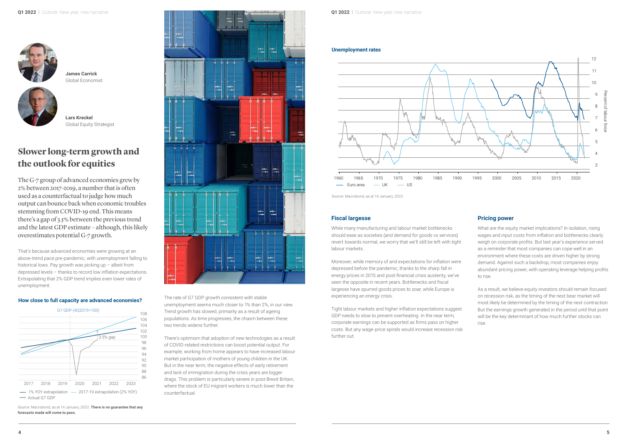## **Slower long-term growth and the outlook for equities**



**James Carrick** Global Economist

That's because advanced economies were growing at an above-trend pace pre-pandemic, with unemployment falling to historical lows. Pay growth was picking up – albeit from depressed levels – thanks to record low inflation expectations. Extrapolating that 2% GDP trend implies even lower rates of unemployment.

> The rate of G7 GDP growth consistent with stable unemployment seems much closer to 1% than 2%, in our view. Trend growth has slowed, primarily as a result of ageing populations. As time progresses, the chasm between these two trends widens further.

There's optimism that adoption of new technologies as a result of COVID-related restrictions can boost potential output. For example, working from home appears to have increased labour market participation of mothers of young children in the UK. But in the near term, the negative effects of early retirement and lack of immigration during the crisis years are bigger drags. This problem is particularly severe in post-Brexit Britain, where the stock of EU migrant workers is much lower than the counterfactual.

The G-7 group of advanced economies grew by 2% between 2017-2019, a number that is often used as a counterfactual to judge how much output can bounce back when economic troubles stemming from COVID-19 end. This means there's a gap of 3.5% between the previous trend and the latest GDP estimate – although, this likely overestimates potential G-7 growth.

#### **How close to full capacity are advanced economies?**

Source: Macrobond, as at 14 January, 2022. **There is no guarantee that any forecasts made will come to pass.**





#### **Fiscal largesse**

While many manufacturing and labour market bottlenecks should ease as societies (and demand for goods vs services) revert towards normal, we worry that we'll still be left with tight labour markets.

Moreover, while memory of and expectations for inflation were depressed before the pandemic, thanks to the sharp fall in energy prices in 2015 and post-financial crisis austerity, we've seen the opposite in recent years. Bottlenecks and fiscal largesse have spurred goods prices to soar, while Europe is experiencing an energy crisis.

Tight labour markets and higher inflation expectations suggest GDP needs to slow to prevent overheating. In the near term, corporate earnings can be supported as firms pass on higher costs. But any wage-price spirals would increase recession risk further out.

#### **Unemployment rates**

### **Pricing power**

What are the equity market implications? In isolation, rising wages and input costs from inflation and bottlenecks clearly weigh on corporate profits. But last year's experience served as a reminder that most companies can cope well in an environment where these costs are driven higher by strong demand. Against such a backdrop, most companies enjoy abundant pricing power, with operating leverage helping profits to rise.



Source: Macrobond, as at 14 January, 2022

As a result, we believe equity investors should remain focused on recession risk, as the timing of the next bear market will most likely be determined by the timing of the next contraction. But the earnings growth generated in the period until that point will be the key determinant of how much further stocks can rise.



**Lars Kreckel** Global Equity Strategist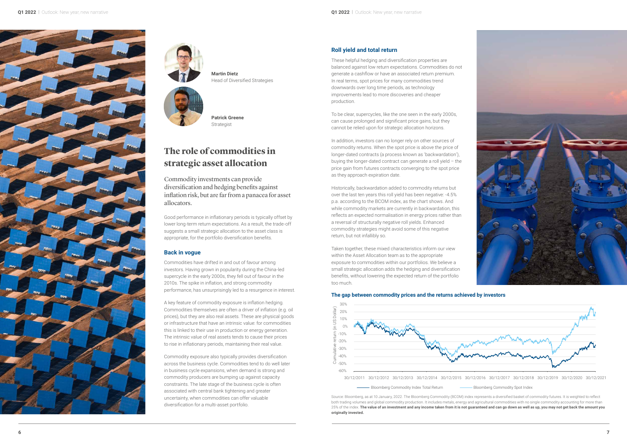





# **The role of commodities in strategic asset allocation**

**Martin Dietz** Head of Diversified Strategies

Good performance in inflationary periods is typically offset by lower long-term return expectations. As a result, the trade-off suggests a small strategic allocation to the asset class is appropriate, for the portfolio diversification benefits.

#### **Back in vogue**

Commodities have drifted in and out of favour among investors. Having grown in popularity during the China-led supercycle in the early 2000s, they fell out of favour in the 2010s. The spike in inflation, and strong commodity performance, has unsurprisingly led to a resurgence in interest.

A key feature of commodity exposure is inflation hedging. Commodities themselves are often a driver of inflation (e.g. oil prices), but they are also real assets. These are physical goods or infrastructure that have an intrinsic value: for commodities this is linked to their use in production or energy generation. The intrinsic value of real assets tends to cause their prices to rise in inflationary periods, maintaining their real value.

Commodity exposure also typically provides diversification across the business cycle. Commodities tend to do well later in business cycle expansions, when demand is strong and commodity producers are bumping up against capacity constraints. The late stage of the business cycle is often associated with central bank tightening and greater uncertainty, when commodities can offer valuable diversification for a multi-asset portfolio.

Commodity investments can provide diversification and hedging benefits against inflation risk, but are far from a panacea for asset allocators.

**Patrick Greene** Strategist

#### **Roll yield and total return**

These helpful hedging and diversification properties are balanced against low return expectations. Commodities do not generate a cashflow or have an associated return premium. In real terms, spot prices for many commodities trend downwards over long time periods, as technology improvements lead to more discoveries and cheaper production.

To be clear, supercycles, like the one seen in the early 2000s, can cause prolonged and significant price gains, but they cannot be relied upon for strategic allocation horizons.

In addition, investors can no longer rely on other sources of commodity returns. When the spot price is above the price of longer-dated contracts (a process known as 'backwardation'), buying the longer-dated contract can generate a roll yield – the price gain from futures contracts converging to the spot price as they approach expiration date.

Historically, backwardation added to commodity returns but over the last ten years this roll yield has been negative: -4.5% p.a. according to the BCOM index, as the chart shows. And while commodity markets are currently in backwardation, this reflects an expected normalisation in energy prices rather than a reversal of structurally negative roll yields. Enhanced commodity strategies might avoid some of this negative return, but not infallibly so.

Taken together, these mixed characteristics inform our view within the Asset Allocation team as to the appropriate exposure to commodities within our portfolios. We believe a small strategic allocation adds the hedging and diversification benefits, without lowering the expected return of the portfolio too much.

**The gap between commodity prices and the returns achieved by investors**

Source: Bloomberg, as at 10 January, 2022. The Bloomberg Commodity (BCOM) index represents a diversified basket of commodity futures. It is weighted to reflect both trading volumes and global commodity production. It includes metals, energy and agricultural commodities with no single commodity accounting for more than 25% of the index. **The value of an investment and any income taken from it is not guaranteed and can go down as well as up, you may not get back the amount you originally invested.**



-Bloomberg Commodity Index Total Return

30/12/2011 30/12/2012 30/12/2013 30/12/2014 30/12/2015 30/12/2016 30/12/2017 30/12/2018 30/12/2019 30/12/2020 30/12/2021

n Bloomberg Commodity Spot Index